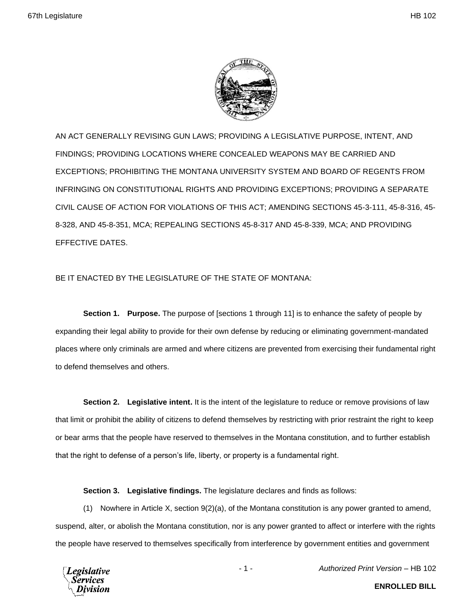

AN ACT GENERALLY REVISING GUN LAWS; PROVIDING A LEGISLATIVE PURPOSE, INTENT, AND FINDINGS; PROVIDING LOCATIONS WHERE CONCEALED WEAPONS MAY BE CARRIED AND EXCEPTIONS; PROHIBITING THE MONTANA UNIVERSITY SYSTEM AND BOARD OF REGENTS FROM INFRINGING ON CONSTITUTIONAL RIGHTS AND PROVIDING EXCEPTIONS; PROVIDING A SEPARATE CIVIL CAUSE OF ACTION FOR VIOLATIONS OF THIS ACT; AMENDING SECTIONS 45-3-111, 45-8-316, 45- 8-328, AND 45-8-351, MCA; REPEALING SECTIONS 45-8-317 AND 45-8-339, MCA; AND PROVIDING EFFECTIVE DATES.

## BE IT ENACTED BY THE LEGISLATURE OF THE STATE OF MONTANA:

**Section 1. Purpose.** The purpose of [sections 1 through 11] is to enhance the safety of people by expanding their legal ability to provide for their own defense by reducing or eliminating government-mandated places where only criminals are armed and where citizens are prevented from exercising their fundamental right to defend themselves and others.

**Section 2. Legislative intent.** It is the intent of the legislature to reduce or remove provisions of law that limit or prohibit the ability of citizens to defend themselves by restricting with prior restraint the right to keep or bear arms that the people have reserved to themselves in the Montana constitution, and to further establish that the right to defense of a person's life, liberty, or property is a fundamental right.

**Section 3. Legislative findings.** The legislature declares and finds as follows:

(1) Nowhere in Article X, section 9(2)(a), of the Montana constitution is any power granted to amend, suspend, alter, or abolish the Montana constitution, nor is any power granted to affect or interfere with the rights the people have reserved to themselves specifically from interference by government entities and government



- 1 - *Authorized Print Version* – HB 102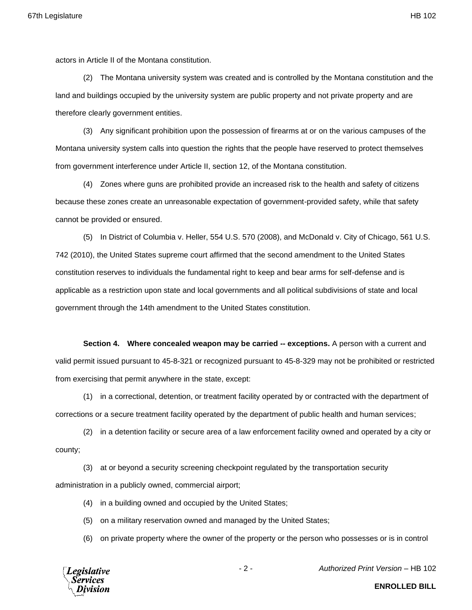actors in Article II of the Montana constitution.

(2) The Montana university system was created and is controlled by the Montana constitution and the land and buildings occupied by the university system are public property and not private property and are therefore clearly government entities.

(3) Any significant prohibition upon the possession of firearms at or on the various campuses of the Montana university system calls into question the rights that the people have reserved to protect themselves from government interference under Article II, section 12, of the Montana constitution.

(4) Zones where guns are prohibited provide an increased risk to the health and safety of citizens because these zones create an unreasonable expectation of government-provided safety, while that safety cannot be provided or ensured.

(5) In District of Columbia v. Heller, 554 U.S. 570 (2008), and McDonald v. City of Chicago, 561 U.S. 742 (2010), the United States supreme court affirmed that the second amendment to the United States constitution reserves to individuals the fundamental right to keep and bear arms for self-defense and is applicable as a restriction upon state and local governments and all political subdivisions of state and local government through the 14th amendment to the United States constitution.

**Section 4. Where concealed weapon may be carried -- exceptions.** A person with a current and valid permit issued pursuant to 45-8-321 or recognized pursuant to 45-8-329 may not be prohibited or restricted from exercising that permit anywhere in the state, except:

(1) in a correctional, detention, or treatment facility operated by or contracted with the department of corrections or a secure treatment facility operated by the department of public health and human services;

(2) in a detention facility or secure area of a law enforcement facility owned and operated by a city or county;

(3) at or beyond a security screening checkpoint regulated by the transportation security administration in a publicly owned, commercial airport;

(4) in a building owned and occupied by the United States;

(5) on a military reservation owned and managed by the United States;

(6) on private property where the owner of the property or the person who possesses or is in control



- 2 - *Authorized Print Version* – HB 102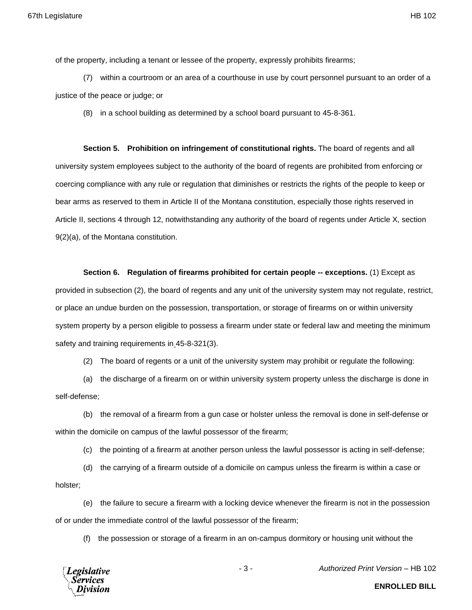of the property, including a tenant or lessee of the property, expressly prohibits firearms;

(7) within a courtroom or an area of a courthouse in use by court personnel pursuant to an order of a justice of the peace or judge; or

(8) in a school building as determined by a school board pursuant to 45-8-361.

**Section 5. Prohibition on infringement of constitutional rights.** The board of regents and all university system employees subject to the authority of the board of regents are prohibited from enforcing or coercing compliance with any rule or regulation that diminishes or restricts the rights of the people to keep or bear arms as reserved to them in Article II of the Montana constitution, especially those rights reserved in Article II, sections 4 through 12, notwithstanding any authority of the board of regents under Article X, section 9(2)(a), of the Montana constitution.

**Section 6. Regulation of firearms prohibited for certain people -- exceptions.** (1) Except as provided in subsection (2), the board of regents and any unit of the university system may not regulate, restrict, or place an undue burden on the possession, transportation, or storage of firearms on or within university system property by a person eligible to possess a firearm under state or federal law and meeting the minimum safety and training requirements in 45-8-321(3).

(2) The board of regents or a unit of the university system may prohibit or regulate the following:

(a) the discharge of a firearm on or within university system property unless the discharge is done in self-defense;

(b) the removal of a firearm from a gun case or holster unless the removal is done in self-defense or within the domicile on campus of the lawful possessor of the firearm;

(c) the pointing of a firearm at another person unless the lawful possessor is acting in self-defense;

(d) the carrying of a firearm outside of a domicile on campus unless the firearm is within a case or holster;

(e) the failure to secure a firearm with a locking device whenever the firearm is not in the possession of or under the immediate control of the lawful possessor of the firearm;

(f) the possession or storage of a firearm in an on-campus dormitory or housing unit without the



- 3 - *Authorized Print Version* – HB 102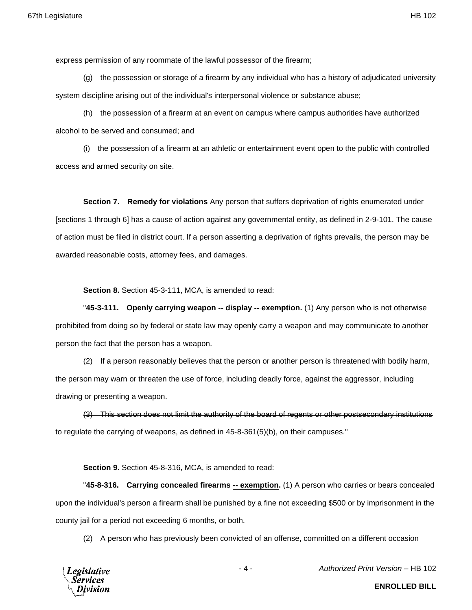express permission of any roommate of the lawful possessor of the firearm;

(g) the possession or storage of a firearm by any individual who has a history of adjudicated university system discipline arising out of the individual's interpersonal violence or substance abuse;

(h) the possession of a firearm at an event on campus where campus authorities have authorized alcohol to be served and consumed; and

(i) the possession of a firearm at an athletic or entertainment event open to the public with controlled access and armed security on site.

**Section 7. Remedy for violations** Any person that suffers deprivation of rights enumerated under [sections 1 through 6] has a cause of action against any governmental entity, as defined in 2-9-101. The cause of action must be filed in district court. If a person asserting a deprivation of rights prevails, the person may be awarded reasonable costs, attorney fees, and damages.

**Section 8.** Section 45-3-111, MCA, is amended to read:

"**45-3-111. Openly carrying weapon -- display -- exemption.** (1) Any person who is not otherwise prohibited from doing so by federal or state law may openly carry a weapon and may communicate to another person the fact that the person has a weapon.

(2) If a person reasonably believes that the person or another person is threatened with bodily harm, the person may warn or threaten the use of force, including deadly force, against the aggressor, including drawing or presenting a weapon.

(3) This section does not limit the authority of the board of regents or other postsecondary institutions to regulate the carrying of weapons, as defined in 45-8-361(5)(b), on their campuses."

**Section 9.** Section 45-8-316, MCA, is amended to read:

"**45-8-316. Carrying concealed firearms -- exemption.** (1) A person who carries or bears concealed upon the individual's person a firearm shall be punished by a fine not exceeding \$500 or by imprisonment in the county jail for a period not exceeding 6 months, or both.

(2) A person who has previously been convicted of an offense, committed on a different occasion



- 4 - *Authorized Print Version* – HB 102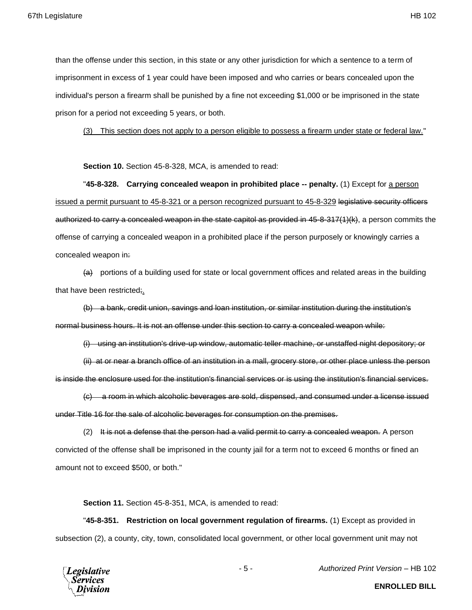than the offense under this section, in this state or any other jurisdiction for which a sentence to a term of imprisonment in excess of 1 year could have been imposed and who carries or bears concealed upon the individual's person a firearm shall be punished by a fine not exceeding \$1,000 or be imprisoned in the state prison for a period not exceeding 5 years, or both.

(3) This section does not apply to a person eligible to possess a firearm under state or federal law."

**Section 10.** Section 45-8-328, MCA, is amended to read:

"**45-8-328. Carrying concealed weapon in prohibited place -- penalty.** (1) Except for a person issued a permit pursuant to 45-8-321 or a person recognized pursuant to 45-8-329 legislative security officers authorized to carry a concealed weapon in the state capitol as provided in 45-8-317(1)(k), a person commits the offense of carrying a concealed weapon in a prohibited place if the person purposely or knowingly carries a concealed weapon in:

 $(a)$  portions of a building used for state or local government offices and related areas in the building that have been restricted;.

(b) a bank, credit union, savings and loan institution, or similar institution during the institution's normal business hours. It is not an offense under this section to carry a concealed weapon while:

(i) using an institution's drive-up window, automatic teller machine, or unstaffed night depository; or

(ii) at or near a branch office of an institution in a mall, grocery store, or other place unless the person is inside the enclosure used for the institution's financial services or is using the institution's financial services.

(c) a room in which alcoholic beverages are sold, dispensed, and consumed under a license issued under Title 16 for the sale of alcoholic beverages for consumption on the premises.

(2) It is not a defense that the person had a valid permit to carry a concealed weapon. A person convicted of the offense shall be imprisoned in the county jail for a term not to exceed 6 months or fined an amount not to exceed \$500, or both."

**Section 11.** Section 45-8-351, MCA, is amended to read:

"**45-8-351. Restriction on local government regulation of firearms.** (1) Except as provided in subsection (2), a county, city, town, consolidated local government, or other local government unit may not



- 5 - *Authorized Print Version* – HB 102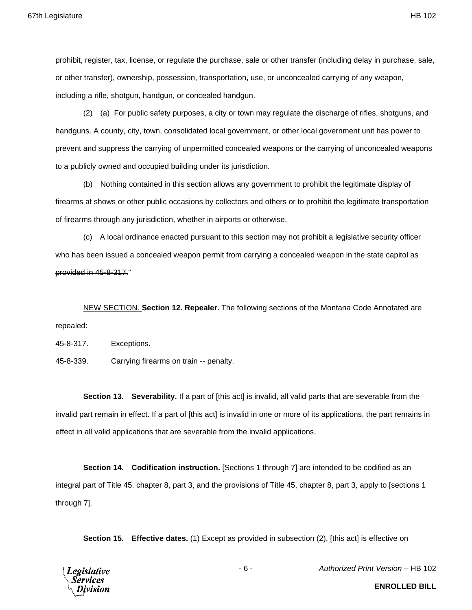prohibit, register, tax, license, or regulate the purchase, sale or other transfer (including delay in purchase, sale, or other transfer), ownership, possession, transportation, use, or unconcealed carrying of any weapon, including a rifle, shotgun, handgun, or concealed handgun.

(2) (a) For public safety purposes, a city or town may regulate the discharge of rifles, shotguns, and handguns. A county, city, town, consolidated local government, or other local government unit has power to prevent and suppress the carrying of unpermitted concealed weapons or the carrying of unconcealed weapons to a publicly owned and occupied building under its jurisdiction.

(b) Nothing contained in this section allows any government to prohibit the legitimate display of firearms at shows or other public occasions by collectors and others or to prohibit the legitimate transportation of firearms through any jurisdiction, whether in airports or otherwise.

(c) A local ordinance enacted pursuant to this section may not prohibit a legislative security officer who has been issued a concealed weapon permit from carrying a concealed weapon in the state capitol as provided in 45-8-317."

NEW SECTION. **Section 12. Repealer.** The following sections of the Montana Code Annotated are repealed:

45-8-317. Exceptions.

45-8-339. Carrying firearms on train -- penalty.

**Section 13. Severability.** If a part of [this act] is invalid, all valid parts that are severable from the invalid part remain in effect. If a part of [this act] is invalid in one or more of its applications, the part remains in effect in all valid applications that are severable from the invalid applications.

**Section 14. Codification instruction.** [Sections 1 through 7] are intended to be codified as an integral part of Title 45, chapter 8, part 3, and the provisions of Title 45, chapter 8, part 3, apply to [sections 1 through 7].

**Section 15. Effective dates.** (1) Except as provided in subsection (2), [this act] is effective on



- 6 - *Authorized Print Version* – HB 102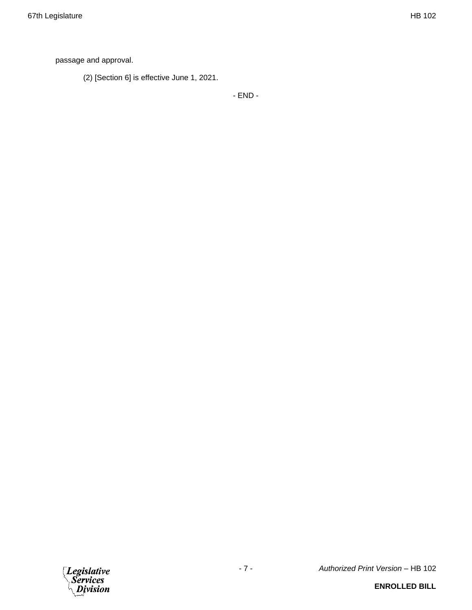passage and approval.

(2) [Section 6] is effective June 1, 2021.

- END -

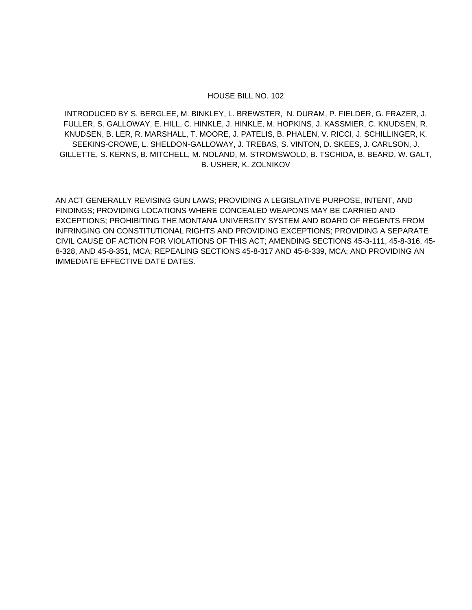## HOUSE BILL NO. 102

INTRODUCED BY S. BERGLEE, M. BINKLEY, L. BREWSTER, N. DURAM, P. FIELDER, G. FRAZER, J. FULLER, S. GALLOWAY, E. HILL, C. HINKLE, J. HINKLE, M. HOPKINS, J. KASSMIER, C. KNUDSEN, R. KNUDSEN, B. LER, R. MARSHALL, T. MOORE, J. PATELIS, B. PHALEN, V. RICCI, J. SCHILLINGER, K. SEEKINS-CROWE, L. SHELDON-GALLOWAY, J. TREBAS, S. VINTON, D. SKEES, J. CARLSON, J. GILLETTE, S. KERNS, B. MITCHELL, M. NOLAND, M. STROMSWOLD, B. TSCHIDA, B. BEARD, W. GALT, B. USHER, K. ZOLNIKOV

AN ACT GENERALLY REVISING GUN LAWS; PROVIDING A LEGISLATIVE PURPOSE, INTENT, AND FINDINGS; PROVIDING LOCATIONS WHERE CONCEALED WEAPONS MAY BE CARRIED AND EXCEPTIONS; PROHIBITING THE MONTANA UNIVERSITY SYSTEM AND BOARD OF REGENTS FROM INFRINGING ON CONSTITUTIONAL RIGHTS AND PROVIDING EXCEPTIONS; PROVIDING A SEPARATE CIVIL CAUSE OF ACTION FOR VIOLATIONS OF THIS ACT; AMENDING SECTIONS 45-3-111, 45-8-316, 45- 8-328, AND 45-8-351, MCA; REPEALING SECTIONS 45-8-317 AND 45-8-339, MCA; AND PROVIDING AN IMMEDIATE EFFECTIVE DATE DATES.